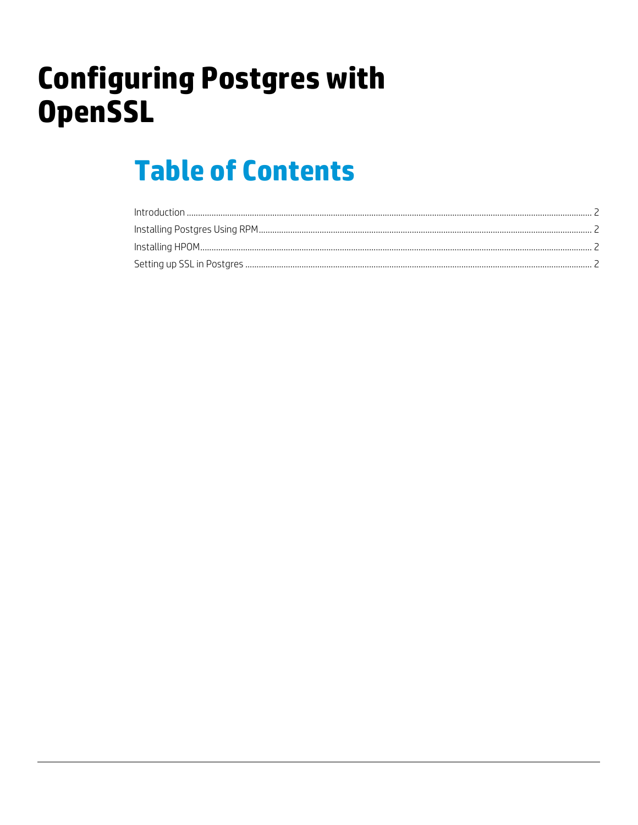# **Configuring Postgres with OpenSSL**

## **Table of Contents**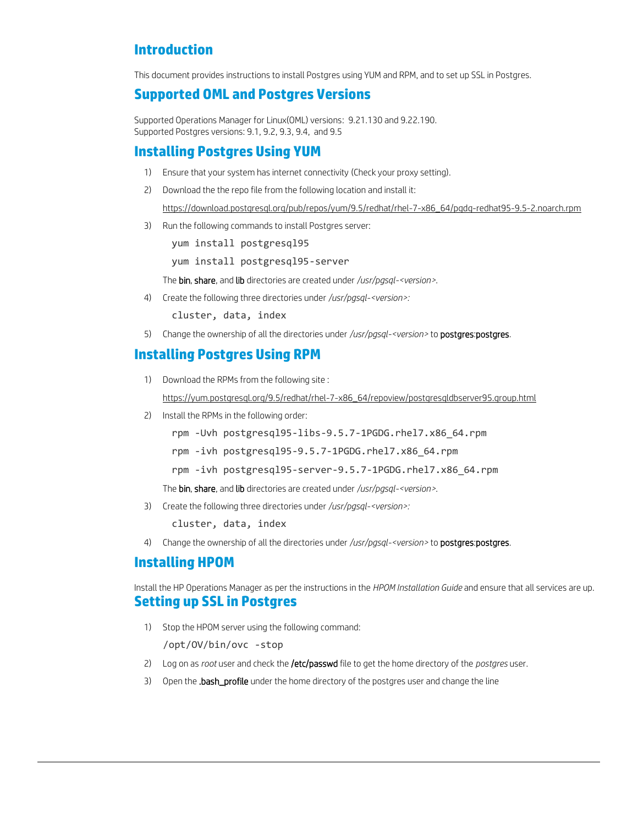## <span id="page-1-0"></span>**Introduction**

This document provides instructions to install Postgres using YUM and RPM, and to set up SSL in Postgres.

### **Supported OML and Postgres Versions**

Supported Operations Manager for Linux(OML) versions: 9.21.130 and 9.22.190. Supported Postgres versions: 9.1, 9.2, 9.3, 9.4, and 9.5

#### **Installing Postgres Using YUM**

- 1) Ensure that your system has internet connectivity (Check your proxy setting).
- 2) Download the the repo file from the following location and install it:

[https://download.postgresql.org/pub/repos/yum/9.5/redhat/rhel-7-x86\\_64/pgdg-redhat95-9.5-2.noarch.rpm](https://download.postgresql.org/pub/repos/yum/9.5/redhat/rhel-7-x86_64/pgdg-redhat95-9.5-2.noarch.rpm)

3) Run the following commands to install Postgres server:

yum install postgresql95

yum install postgresql95-server

The bin, share, and lib directories are created under */usr/pgsql-<version>*.

4) Create the following three directories under */usr/pgsql-<version>:*

cluster, data, index

5) Change the ownership of all the directories under */usr/pgsql-<version>* to postgres:postgres.

## <span id="page-1-1"></span>**Installing Postgres Using RPM**

- 1) Download the RPMs from the following site : [https://yum.postgresql.org/9.5/redhat/rhel-7-x86\\_64/repoview/postgresqldbserver95.group.html](https://yum.postgresql.org/9.5/redhat/rhel-7-x86_64/repoview/postgresqldbserver95.group.html)
- 2) Install the RPMs in the following order:

rpm -Uvh postgresql95-libs-9.5.7-1PGDG.rhel7.x86\_64.rpm

rpm -ivh postgresql95-9.5.7-1PGDG.rhel7.x86\_64.rpm

rpm -ivh postgresql95-server-9.5.7-1PGDG.rhel7.x86\_64.rpm

The bin, share, and lib directories are created under */usr/pgsql-<version>*.

3) Create the following three directories under */usr/pgsql-<version>:*

cluster, data, index

4) Change the ownership of all the directories under */usr/pgsql-<version>* to postgres:postgres.

### <span id="page-1-2"></span>**Installing HPOM**

<span id="page-1-3"></span>Install the HP Operations Manager as per the instructions in the *HPOM Installation Guide* and ensure that all services are up. **Setting up SSL in Postgres**

1) Stop the HPOM server using the following command:

/opt/OV/bin/ovc -stop

- 2) Log on as *root* user and check the /etc/passwd file to get the home directory of the *postgres* user.
- 3) Open the .bash\_profile under the home directory of the postgres user and change the line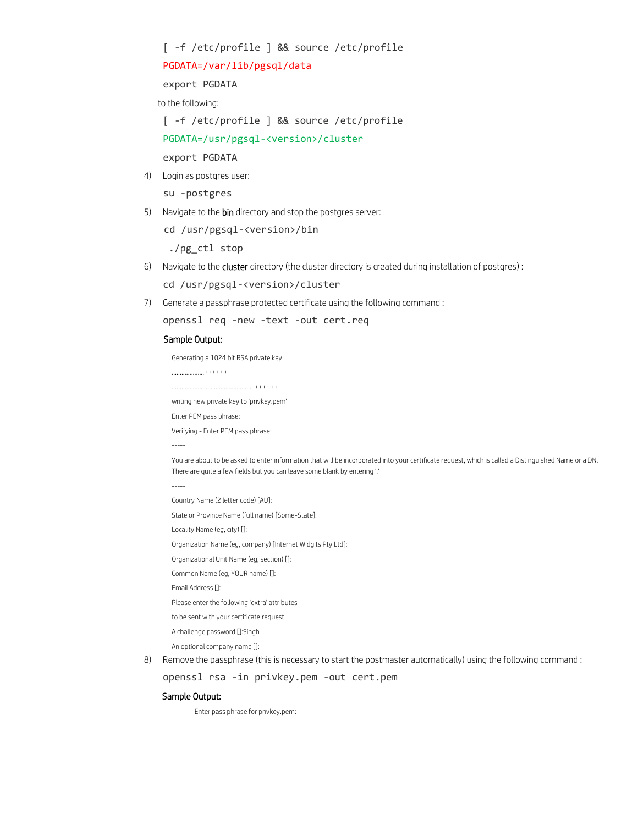[ -f /etc/profile ] && source /etc/profile

#### PGDATA=/var/lib/pgsql/data

export PGDATA

to the following:

[ -f /etc/profile ] && source /etc/profile

PGDATA=/usr/pgsql-<version>/cluster

export PGDATA

4) Login as postgres user:

su -postgres

5) Navigate to the bin directory and stop the postgres server:

cd /usr/pgsql-<version>/bin

./pg\_ctl stop

- 6) Navigate to the cluster directory (the cluster directory is created during installation of postgres) : cd /usr/pgsql-<version>/cluster
- 7) Generate a passphrase protected certificate using the following command :

```
 openssl req -new -text -out cert.req
```
#### Sample Output:

Generating a 1024 bit RSA private key

```
***+++++
```

```
...................................................++++++
```

```
writing new private key to 'privkey.pem'
```
Enter PEM pass phrase:

Verifying - Enter PEM pass phrase:

You are about to be asked to enter information that will be incorporated into your certificate request, which is called a Distinguished Name or a DN. There are quite a few fields but you can leave some blank by entering '.'

-----

-----

Country Name (2 letter code) [AU]:

State or Province Name (full name) [Some-State]:

Locality Name (eg, city) []:

Organization Name (eg, company) [Internet Widgits Pty Ltd]:

- Organizational Unit Name (eg, section) []:
- Common Name (eg, YOUR name) []:

Email Address []:

- Please enter the following 'extra' attributes
- to be sent with your certificate request
- A challenge password []:Singh

An optional company name []:

8) Remove the passphrase (this is necessary to start the postmaster automatically) using the following command :

openssl rsa -in privkey.pem -out cert.pem

#### Sample Output:

Enter pass phrase for privkey.pem: